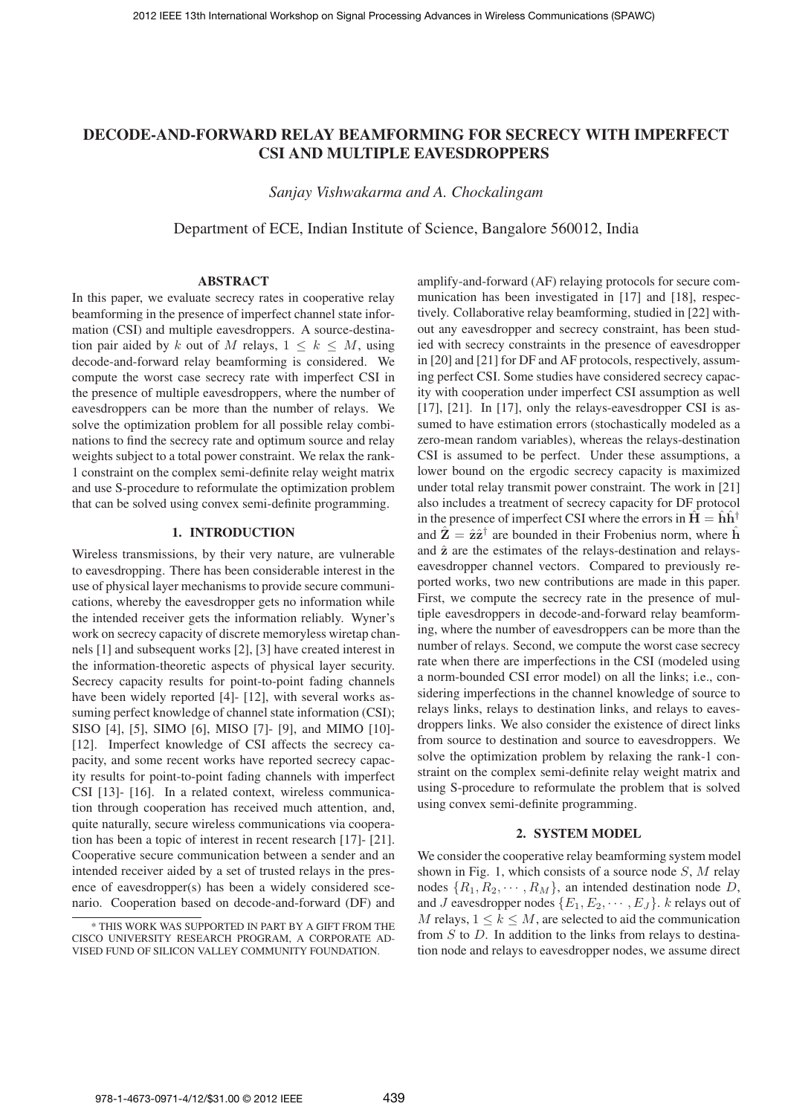# **DECODE-AND-FORWARD RELAY BEAMFORMING FOR SECRECY WITH IMPERFECT CSI AND MULTIPLE EAVESDROPPERS**

*Sanjay Vishwakarma and A. Chockalingam*

Department of ECE, Indian Institute of Science, Bangalore 560012, India

### **ABSTRACT**

In this paper, we evaluate secrecy rates in cooperative relay beamforming in the presence of imperfect channel state information (CSI) and multiple eavesdroppers. A source-destination pair aided by k out of M relays,  $1 \leq k \leq M$ , using decode-and-forward relay beamforming is considered. We compute the worst case secrecy rate with imperfect CSI in the presence of multiple eavesdroppers, where the number of eavesdroppers can be more than the number of relays. We solve the optimization problem for all possible relay combinations to find the secrecy rate and optimum source and relay weights subject to a total power constraint. We relax the rank-1 constraint on the complex semi-definite relay weight matrix and use S-procedure to reformulate the optimization problem that can be solved using convex semi-definite programming.

# **1. INTRODUCTION**

Wireless transmissions, by their very nature, are vulnerable to eavesdropping. There has been considerable interest in the use of physical layer mechanisms to provide secure communications, whereby the eavesdropper gets no information while the intended receiver gets the information reliably. Wyner's work on secrecy capacity of discrete memoryless wiretap channels [1] and subsequent works [2], [3] have created interest in the information-theoretic aspects of physical layer security. Secrecy capacity results for point-to-point fading channels have been widely reported [4]- [12], with several works assuming perfect knowledge of channel state information (CSI); SISO [4], [5], SIMO [6], MISO [7]- [9], and MIMO [10]- [12]. Imperfect knowledge of CSI affects the secrecy capacity, and some recent works have reported secrecy capacity results for point-to-point fading channels with imperfect CSI [13]- [16]. In a related context, wireless communication through cooperation has received much attention, and, quite naturally, secure wireless communications via cooperation has been a topic of interest in recent research [17]- [21]. Cooperative secure communication between a sender and an intended receiver aided by a set of trusted relays in the presence of eavesdropper(s) has been a widely considered scenario. Cooperation based on decode-and-forward (DF) and

amplify-and-forward (AF) relaying protocols for secure communication has been investigated in [17] and [18], respectively. Collaborative relay beamforming, studied in [22] without any eavesdropper and secrecy constraint, has been studied with secrecy constraints in the presence of eavesdropper in [20] and [21] for DF and AF protocols, respectively, assuming perfect CSI. Some studies have considered secrecy capacity with cooperation under imperfect CSI assumption as well [17], [21]. In [17], only the relays-eavesdropper CSI is assumed to have estimation errors (stochastically modeled as a zero-mean random variables), whereas the relays-destination CSI is assumed to be perfect. Under these assumptions, a lower bound on the ergodic secrecy capacity is maximized under total relay transmit power constraint. The work in [21] also includes a treatment of secrecy capacity for DF protocol in the presence of imperfect CSI where the errors in  $H = hh^{\dagger}$ and  $\mathbf{Z} = \hat{\mathbf{z}} \hat{\mathbf{z}}^{\dagger}$  are bounded in their Frobenius norm, where **h** and  $\hat{z}$  are the estimates of the relays-destination and relayseavesdropper channel vectors. Compared to previously reported works, two new contributions are made in this paper. First, we compute the secrecy rate in the presence of multiple eavesdroppers in decode-and-forward relay beamforming, where the number of eavesdroppers can be more than the number of relays. Second, we compute the worst case secrecy rate when there are imperfections in the CSI (modeled using a norm-bounded CSI error model) on all the links; i.e., considering imperfections in the channel knowledge of source to relays links, relays to destination links, and relays to eavesdroppers links. We also consider the existence of direct links from source to destination and source to eavesdroppers. We solve the optimization problem by relaxing the rank-1 constraint on the complex semi-definite relay weight matrix and using S-procedure to reformulate the problem that is solved using convex semi-definite programming.

#### **2. SYSTEM MODEL**

We consider the cooperative relay beamforming system model shown in Fig. 1, which consists of a source node  $S$ , M relay nodes  $\{R_1, R_2, \cdots, R_M\}$ , an intended destination node D, and J eavesdropper nodes  ${E_1, E_2, \cdots, E_J}$ . *k* relays out of M relays,  $1 \leq k \leq M$ , are selected to aid the communication from  $S$  to  $D$ . In addition to the links from relays to destination node and relays to eavesdropper nodes, we assume direct

<sup>\*</sup> THIS WORK WAS SUPPORTED IN PART BY A GIFT FROM THE CISCO UNIVERSITY RESEARCH PROGRAM, A CORPORATE AD-VISED FUND OF SILICON VALLEY COMMUNITY FOUNDATION.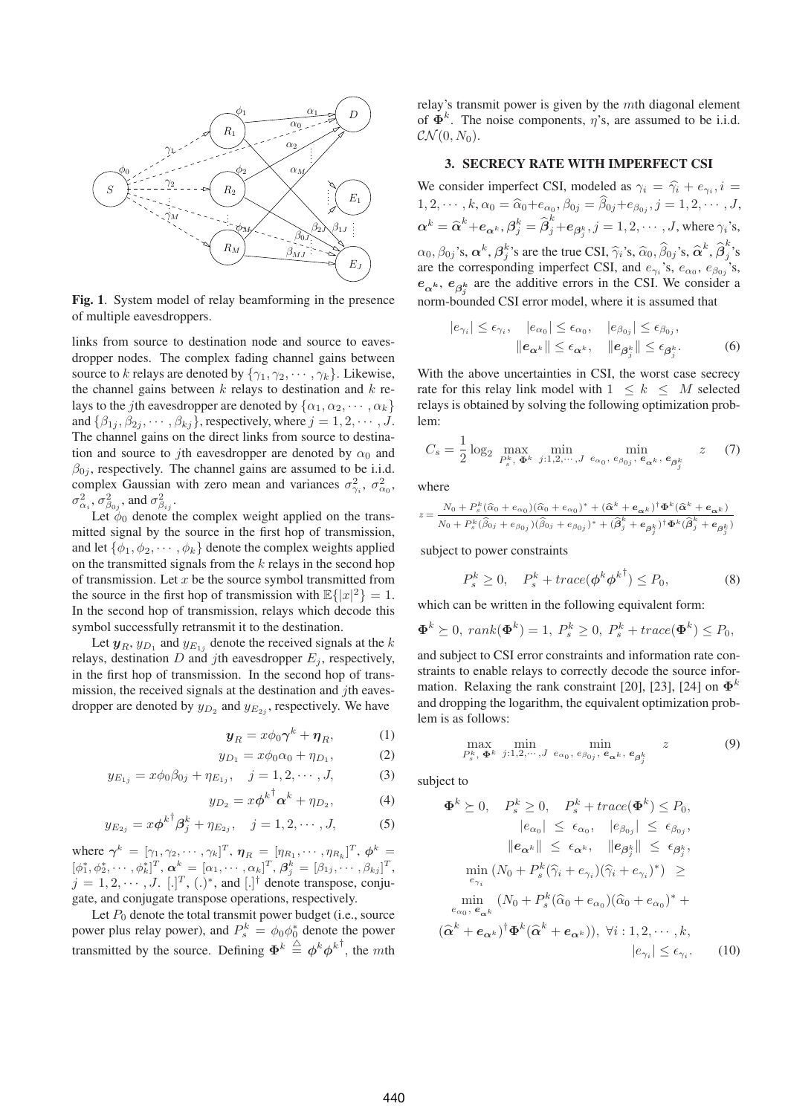

**Fig. 1**. System model of relay beamforming in the presence of multiple eavesdroppers.

links from source to destination node and source to eavesdropper nodes. The complex fading channel gains between source to k relays are denoted by  $\{\gamma_1, \gamma_2, \cdots, \gamma_k\}$ . Likewise, the channel gains between  $k$  relays to destination and  $k$  relays to the *j*th eavesdropper are denoted by  $\{\alpha_1, \alpha_2, \cdots, \alpha_k\}$ and  $\{\beta_{1j}, \beta_{2j}, \cdots, \beta_{kj}\}\$ , respectively, where  $j = 1, 2, \cdots, J$ . The channel gains on the direct links from source to destination and source to *i*th eavesdropper are denoted by  $\alpha_0$  and  $\beta_{0i}$ , respectively. The channel gains are assumed to be i.i.d. complex Gaussian with zero mean and variances  $\sigma_{\gamma_i}^2$ ,  $\sigma_{\alpha_0}^2$ ,  $\sigma_{\alpha_i}^2$ ,  $\sigma_{\beta_{0j}}^2$ , and  $\sigma_{\beta_{ij}}^2$ .

Let  $\phi_0$  denote the complex weight applied on the transmitted signal by the source in the first hop of transmission, and let  $\{\phi_1, \phi_2, \cdots, \phi_k\}$  denote the complex weights applied on the transmitted signals from the  $k$  relays in the second hop of transmission. Let  $x$  be the source symbol transmitted from the source in the first hop of transmission with  $\mathbb{E}\{|x|^2\} = 1$ . In the second hop of transmission, relays which decode this symbol successfully retransmit it to the destination.

Let  $y_R$ ,  $y_{D_1}$  and  $y_{E_{1i}}$  denote the received signals at the k relays, destination  $D$  and jth eavesdropper  $E_j$ , respectively, in the first hop of transmission. In the second hop of transmission, the received signals at the destination and  $j$ th eavesdropper are denoted by  $y_{D_2}$  and  $y_{E_{2i}}$ , respectively. We have

$$
\mathbf{y}_R = x\phi_0 \boldsymbol{\gamma}^k + \boldsymbol{\eta}_R,\tag{1}
$$

$$
y_{D_1} = x\phi_0 \alpha_0 + \eta_{D_1}, \tag{2}
$$

$$
y_{E_{1j}} = x\phi_0\beta_{0j} + \eta_{E_{1j}}, \quad j = 1, 2, \cdots, J,
$$
 (3)

$$
y_{D_2} = x\phi^{k^\dagger}\alpha^k + \eta_{D_2},\tag{4}
$$

$$
y_{E_{2j}} = x\phi^{k\top}\beta_j^k + \eta_{E_{2j}}, \quad j = 1, 2, \cdots, J,
$$
 (5)

where  $\gamma^{k} = [\gamma_{1}, \gamma_{2}, \cdots, \gamma_{k}]^{T}$ ,  $\eta_{R} = [\eta_{R_{1}}, \cdots, \eta_{R_{k}}]^{T}$ ,  $\phi^{k} =$  $[\phi_1^*, \phi_2^*, \cdots, \phi_k^*]^T$ ,  $\boldsymbol{\alpha}^k = [\alpha_1, \cdots, \alpha_k]^T$ ,  $\boldsymbol{\beta}_j^k = [\beta_{1j}, \cdots, \beta_{kj}]^T$ ,  $j = 1, 2, \dots, J$ . [.]<sup>T</sup>, (.)<sup>\*</sup>, and [.]<sup>†</sup> denote transpose, conjugate, and conjugate transpose operations, respectively.

Let  $P_0$  denote the total transmit power budget (i.e., source power plus relay power), and  $P_s^k = \phi_0 \phi_0^*$  denote the power transmitted by the source. Defining  $\Phi^k \stackrel{\triangle}{=} \phi^k \phi^{k \top}$ , the mth relay's transmit power is given by the  $m$ th diagonal element of  $\Phi^k$ . The noise components,  $\eta$ 's, are assumed to be i.i.d.  $\mathcal{CN}(0, N_0)$ .

#### **3. SECRECY RATE WITH IMPERFECT CSI**

We consider imperfect CSI, modeled as  $\gamma_i = \hat{\gamma}_i + e_{\gamma_i}, i =$  $1, 2, \cdots, k, \alpha_0 = \widehat{\alpha}_0 + e_{\alpha_0}, \beta_{0j} = \widehat{\beta}_{0j} + e_{\beta_{0j}}, j = 1, 2, \cdots, J,$  $\bm{\alpha}^k=\widehat{\bm{\alpha}}^k+\bm{e}_{\bm{\alpha}^k}, \bm{\beta}^k_j=\widehat{\bm{\beta}}^k_j+\bm{e}_{\bm{\beta}^k_j}, j=1,2,\cdots, J,$  where  $\gamma_i$ 's,  $\alpha_0$ ,  $\beta_{0j}$ 's,  $\alpha^k$ ,  $\beta_j^k$ 's are the true CSI,  $\hat{\gamma}_i$ 's,  $\hat{\alpha}_0$ ,  $\hat{\beta}_{0j}$ 's,  $\hat{\alpha}^k$ ,  $\hat{\beta}_j^k$ 's are the corresponding imperfect CSI, and  $e_{\gamma_i}$ 's,  $e_{\alpha_0}$ ,  $e_{\beta_{0j}}$ 's,  $e_{\alpha^k}$ ,  $e_{\beta_j^k}$  are the additive errors in the CSI. We consider a norm-bounded CSI error model, where it is assumed that

$$
|e_{\gamma_i}| \le \epsilon_{\gamma_i}, \quad |e_{\alpha_0}| \le \epsilon_{\alpha_0}, \quad |e_{\beta_{0j}}| \le \epsilon_{\beta_{0j}},
$$

$$
||e_{\alpha^k}|| \le \epsilon_{\alpha^k}, \quad ||e_{\beta^k_j}|| \le \epsilon_{\beta^k_j}.
$$
(6)

With the above uncertainties in CSI, the worst case secrecy rate for this relay link model with  $1 \leq k \leq M$  selected relays is obtained by solving the following optimization problem:

$$
C_s = \frac{1}{2} \log_2 \max_{P_s^k, \Phi^k} \min_{j:1,2,\dots,J} \min_{e_{\alpha_0}, e_{\beta_{0j}}, e_{\alpha^k}, e_{\beta^k_j}} z \qquad (7)
$$

where

where  
\n
$$
z = \frac{N_0 + P_s^k(\hat{\alpha}_0 + e_{\alpha_0})(\hat{\alpha}_0 + e_{\alpha_0})^* + (\hat{\alpha}^k + e_{\alpha^k})^{\dagger} \Phi^k (\hat{\alpha}^k + e_{\alpha^k})}{N_0 + P_s^k(\hat{\beta}_{0j} + e_{\beta_{0j}})(\hat{\beta}_{0j} + e_{\beta_{0j}})^* + (\hat{\beta}_j^k + e_{\beta_j^k})^{\dagger} \Phi^k (\hat{\beta}_j^k + e_{\beta_j^k})}
$$

subject to power constraints

$$
P_s^k \ge 0, \quad P_s^k + trace(\boldsymbol{\phi}^k \boldsymbol{\phi}^{k^{\dagger}}) \le P_0,\tag{8}
$$

which can be written in the following equivalent form:

$$
\Phi^k \succeq 0, \; rank(\Phi^k) = 1, \; P_s^k \geq 0, \; P_s^k + trace(\Phi^k) \leq P_0,
$$

and subject to CSI error constraints and information rate constraints to enable relays to correctly decode the source information. Relaxing the rank constraint [20], [23], [24] on  $\Phi^k$ and dropping the logarithm, the equivalent optimization problem is as follows:

$$
\max_{P_s^k, \Phi^k} \min_{j:1,2,\cdots,J} \min_{e_{\alpha_0}, e_{\beta_{0j}}, e_{\alpha^k}, e_{\beta^k_j}} z \tag{9}
$$

subject to

$$
\Phi^{k} \geq 0, \quad P_{s}^{k} \geq 0, \quad P_{s}^{k} + trace(\Phi^{k}) \leq P_{0},
$$
\n
$$
|e_{\alpha_{0}}| \leq \epsilon_{\alpha_{0}}, \quad |e_{\beta_{0j}}| \leq \epsilon_{\beta_{0j}},
$$
\n
$$
||e_{\alpha^{k}}|| \leq \epsilon_{\alpha^{k}}, \quad ||e_{\beta_{j}^{k}}|| \leq \epsilon_{\beta_{j}^{k}},
$$
\n
$$
\min_{e_{\gamma_{i}}} (N_{0} + P_{s}^{k}(\hat{\gamma}_{i} + e_{\gamma_{i}})(\hat{\gamma}_{i} + e_{\gamma_{i}})^{*}) \geq
$$
\n
$$
\min_{e_{\alpha_{0}}, e_{\alpha^{k}}} (N_{0} + P_{s}^{k}(\hat{\alpha}_{0} + e_{\alpha_{0}})(\hat{\alpha}_{0} + e_{\alpha_{0}})^{*} +
$$
\n
$$
(\hat{\alpha}^{k} + e_{\alpha^{k}})^{\dagger} \Phi^{k}(\hat{\alpha}^{k} + e_{\alpha^{k}})), \forall i : 1, 2, \cdots, k,
$$
\n
$$
|e_{\gamma_{i}}| \leq \epsilon_{\gamma_{i}}.
$$
\n(10)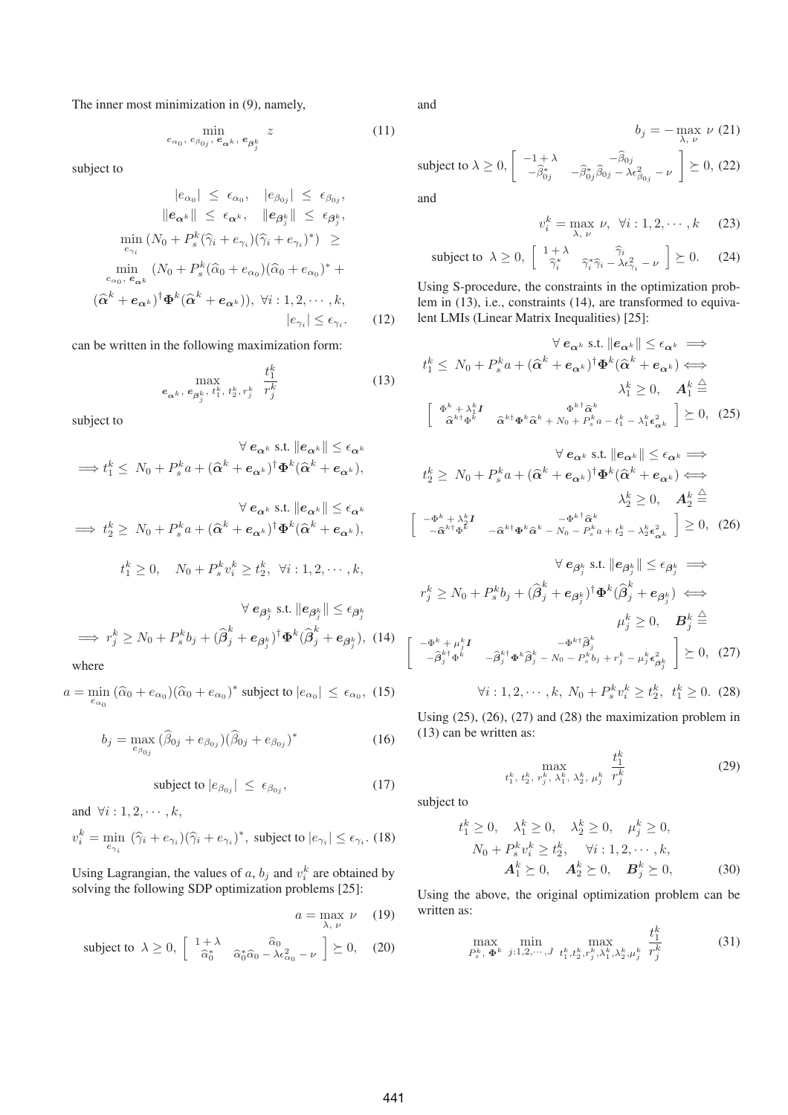The inner most minimization in (9), namely,

$$
\min_{e_{\alpha_0}, e_{\beta_{0j}}, e_{\alpha^k}, e_{\beta^k_j}} z \tag{11}
$$

subject to

$$
|e_{\alpha_0}| \leq \epsilon_{\alpha_0}, \quad |e_{\beta_{0j}}| \leq \epsilon_{\beta_{0j}},
$$
  
\n
$$
||e_{\alpha^k}|| \leq \epsilon_{\alpha^k}, \quad ||e_{\beta_j^k}|| \leq \epsilon_{\beta_j^k},
$$
  
\n
$$
\min_{e_{\gamma_i}} (N_0 + P_s^k(\hat{\gamma}_i + e_{\gamma_i})(\hat{\gamma}_i + e_{\gamma_i})^*) \geq
$$
  
\n
$$
\min_{e_{\alpha_0}, e_{\alpha^k}} (N_0 + P_s^k(\hat{\alpha}_0 + e_{\alpha_0})(\hat{\alpha}_0 + e_{\alpha_0})^* +
$$
  
\n
$$
(\hat{\alpha}^k + e_{\alpha^k})^{\dagger} \Phi^k (\hat{\alpha}^k + e_{\alpha^k})), \forall i : 1, 2, \dots, k,
$$
  
\n
$$
|e_{\gamma_i}| \leq \epsilon_{\gamma_i}.
$$
 (12)

can be written in the following maximization form:

$$
\max_{\mathbf{e}_{\alpha^k}, \, \mathbf{e}_{\beta^k_j}, \, t^k_1, \, t^k_2, \, r^k_j} \quad \frac{t^k_1}{r^k_j} \tag{13}
$$

subject to

$$
\forall e_{\alpha^k} \text{ s.t. } ||e_{\alpha^k}|| \leq \epsilon_{\alpha^k}
$$
  
\n
$$
\implies t_1^k \leq N_0 + P_s^k a + (\hat{\alpha}^k + e_{\alpha^k})^{\dagger} \Phi^k (\hat{\alpha}^k + e_{\alpha^k}),
$$
  
\n
$$
\forall e_{\alpha^k} \text{ s.t. } ||e_{\alpha^k}|| \leq \epsilon_{\alpha^k}
$$
  
\n
$$
\implies t_2^k \geq N_0 + P_s^k a + (\hat{\alpha}^k + e_{\alpha^k})^{\dagger} \Phi^k (\hat{\alpha}^k + e_{\alpha^k}),
$$
  
\n
$$
t_1^k \geq 0, \quad N_0 + P_s^k v_i^k \geq t_2^k, \quad \forall i : 1, 2, \dots, k,
$$

$$
\forall e_{\beta_j^k} \text{ s.t. } \|e_{\beta_j^k}\| \le \epsilon_{\beta_j^k}
$$
\n
$$
\implies r_j^k \ge N_0 + P_s^k b_j + (\hat{\beta}_j^k + e_{\beta_j^k})^\dagger \Phi^k (\hat{\beta}_j^k + e_{\beta_j^k}), \quad (14)
$$
\nwhere

 $a = \min_{e_{\alpha_0}} (\widehat{\alpha}_0 + e_{\alpha_0})(\widehat{\alpha}_0 + e_{\alpha_0})^*$  subject to  $|e_{\alpha_0}| \le \epsilon_{\alpha_0}$ , (15)

$$
b_j = \max_{e_{\beta_{0j}}} (\hat{\beta}_{0j} + e_{\beta_{0j}}) (\hat{\beta}_{0j} + e_{\beta_{0j}})^*
$$
(16)

$$
subject to |e_{\beta_{0j}}| \le \epsilon_{\beta_{0j}}, \tag{17}
$$

and  $\forall i: 1, 2, \cdots, k$ ,  $v_i^k = \min_{e_{\gamma_i}} (\widehat{\gamma}_i + e_{\gamma_i})(\widehat{\gamma}_i + e_{\gamma_i})^*$ , subject to  $|e_{\gamma_i}| \le \epsilon_{\gamma_i}$ . (18)

Using Lagrangian, the values of a,  $b_j$  and  $v_i^k$  are obtained by solving the following SDP optimization problems [25]:

$$
a = \max_{\lambda, \nu} \nu \quad (19)
$$
  
\n
$$
\begin{bmatrix} 1 + \lambda & \hat{\alpha}_0 & 1 \leq \alpha & (20) \end{bmatrix}
$$

$$
a = \max_{\lambda, \nu} \nu \tag{19}
$$
\n
$$
\text{subject to } \lambda \ge 0, \begin{bmatrix} 1+\lambda & \hat{\alpha}_0 \\ \hat{\alpha}_0^* & \hat{\alpha}_0^* \hat{\alpha}_0 - \lambda \epsilon_{\alpha_0}^2 - \nu \end{bmatrix} \succeq 0, \tag{20}
$$

and

 $b_j = - \max_{\lambda, \nu} \nu (21)$ subject to  $\lambda \ge 0$ ,  $\begin{bmatrix} -1 + \lambda & -\hat{\beta}_0 \\ -\hat{\beta}^* & -\hat{\beta}^* & -\hat{\beta}_0 \end{bmatrix}$  $\begin{array}{cc} \sigma_j = \ -1 + \lambda & -\widehat{\beta}_{0j} \ -\widehat{\beta}^*_{0j} & -\widehat{\beta}^*_{0j}\widehat{\beta}_{0j} - \lambda \epsilon_{\beta_{0j}}^2 - \nu \end{array}$ ]  $\succeq$  0, (22)

and

$$
v_i^k = \max_{\lambda, \nu} \nu, \ \forall i: 1, 2, \cdots, k \tag{23}
$$
\n
$$
\begin{bmatrix} 1 + \lambda & \hat{\gamma}_i & \lambda \end{bmatrix} \subset 0 \tag{24}
$$

$$
v_i^k = \max_{\lambda, \nu} \nu, \ \forall i: 1, 2, \cdots, k \quad (23)
$$
\nsubject to  $\lambda \geq 0$ ,  $\begin{bmatrix} 1 + \lambda & \hat{\gamma}_i \\ \hat{\gamma}_i^* & \hat{\gamma}_i^* \hat{\gamma}_i - \lambda \epsilon_{\gamma_i}^2 - \nu \end{bmatrix} \geq 0.$ 

\n(24)

Using S-procedure, the constraints in the optimization problem in (13), i.e., constraints (14), are transformed to equivalent LMIs (Linear Matrix Inequalities) [25]:

$$
\forall e_{\alpha^k} \text{ s.t. } \|e_{\alpha^k}\| \leq \epsilon_{\alpha^k} \implies
$$
  

$$
t_1^k \leq N_0 + P_s^k a + (\hat{\alpha}^k + e_{\alpha^k})^\dagger \Phi^k (\hat{\alpha}^k + e_{\alpha^k}) \iff
$$
  

$$
\lambda_1^k \geq 0, \quad A_1^k \stackrel{\triangle}{=}
$$
  

$$
\left[\begin{array}{cc} \Phi^k + \lambda_1^k I & \Phi^k \hat{\alpha}^k \\ \hat{\alpha}^{k \dagger} \Phi^k & \hat{\alpha}^{k \dagger} \Phi^k \hat{\alpha}^k + N_0 + P_s^k a - t_1^k - \lambda_1^k \epsilon_{\alpha^k}^2 \end{array}\right] \geq 0, \quad (25)
$$

$$
\forall e_{\alpha^k} \text{ s.t. } ||e_{\alpha^k}|| \leq \epsilon_{\alpha^k} \implies
$$
  
\n
$$
t_2^k \geq N_0 + P_s^k a + (\hat{\alpha}^k + e_{\alpha^k})^\dagger \Phi^k (\hat{\alpha}^k + e_{\alpha^k}) \iff
$$
  
\n
$$
\lambda_2^k \geq 0, \quad A_2^k \stackrel{\triangle}{=}
$$
  
\n
$$
\begin{bmatrix} -\Phi^k + \lambda_2^k I & -\hat{\alpha}^{k\dagger} \Phi^k \hat{\alpha}^k - N_0 - P_s^k a + t_2^k - \lambda_2^k \epsilon_{\alpha^k}^2 \end{bmatrix} \geq 0, \quad (26)
$$

$$
\forall e_{\beta_j^k} \text{ s.t. } \|e_{\beta_j^k}\| \le \epsilon_{\beta_j^k} \implies
$$
  
\n
$$
r_j^k \ge N_0 + P_s^k b_j + (\hat{\beta}_j^k + e_{\beta_j^k})^\dagger \Phi^k (\hat{\beta}_j^k + e_{\beta_j^k}) \iff
$$
  
\n
$$
\mu_j^k \ge 0, \quad \mathbf{B}_j^k \stackrel{\triangle}{=}
$$
  
\n
$$
\begin{bmatrix} -\Phi^k + \mu_j^k \mathbf{I} & -\Phi^k \dagger \hat{\beta}_j^k & -\Phi^k \dagger \hat{\beta}_j^k \\ -\hat{\beta}_j^k \dagger \Phi^k & -\hat{\beta}_j^k \dagger \Phi^k \hat{\beta}_j^k - N_0 - P_s^k b_j + r_j^k - \mu_j^k \epsilon_{\beta_j^k}^2 \end{bmatrix} \succeq 0, \quad (27)
$$
  
\n
$$
\forall i : 1, 2, \cdots, k, N_0 + P_s^k v_i^k \ge t_2^k, \quad t_1^k \ge 0. \quad (28)
$$

Using (25), (26), (27) and (28) the maximization problem in (13) can be written as:

$$
\max_{t_1^k, t_2^k, r_j^k, \lambda_1^k, \lambda_2^k, \mu_j^k} \frac{t_1^k}{r_j^k}
$$
 (29)

subject to

$$
t_1^k \ge 0, \quad \lambda_1^k \ge 0, \quad \lambda_2^k \ge 0, \quad \mu_j^k \ge 0, N_0 + P_s^k v_i^k \ge t_2^k, \quad \forall i: 1, 2, \dots, k, \n\mathbf{A}_1^k \ge 0, \quad \mathbf{A}_2^k \ge 0, \quad \mathbf{B}_j^k \ge 0,
$$
\n(30)

Using the above, the original optimization problem can be written as:

$$
\max_{P_s^k, \Phi^k} \min_{j:1,2,\cdots,J} \max_{t_1^k, t_2^k, r_j^k, \lambda_1^k, \lambda_2^k, \mu_j^k} \frac{t_1^k}{r_j^k}
$$
(31)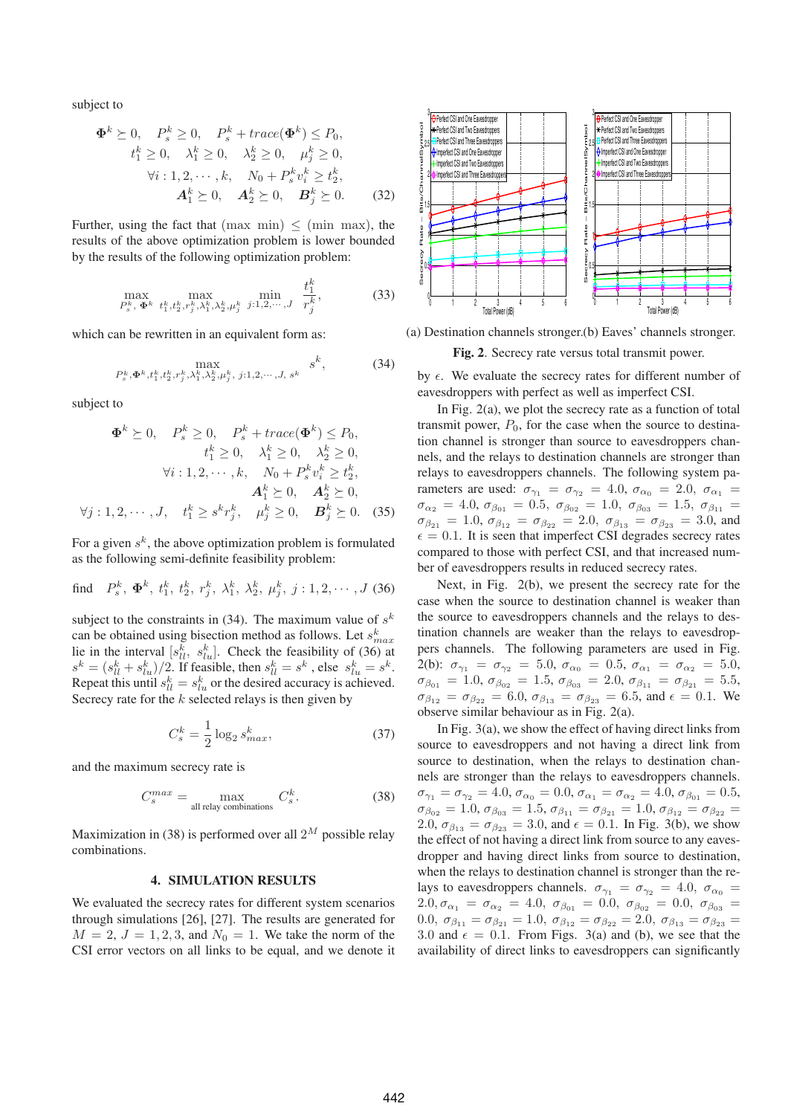subject to

$$
\Phi^k \succeq 0, \quad P_s^k \ge 0, \quad P_s^k + trace(\Phi^k) \le P_0,
$$
  
\n
$$
t_1^k \ge 0, \quad \lambda_1^k \ge 0, \quad \lambda_2^k \ge 0, \quad \mu_j^k \ge 0,
$$
  
\n
$$
\forall i: 1, 2, \cdots, k, \quad N_0 + P_s^k v_i^k \ge t_2^k,
$$
  
\n
$$
A_1^k \succeq 0, \quad A_2^k \succeq 0, \quad B_j^k \succeq 0.
$$
 (32)

Further, using the fact that  $(max min) \leq (min max)$ , the results of the above optimization problem is lower bounded by the results of the following optimization problem:

$$
\max_{P_s^k, \Phi^k} \max_{t_1^k, t_2^k, r_j^k, \lambda_1^k, \lambda_2^k, \mu_j^k} \min_{j:1,2,\dots,J} \frac{t_1^k}{r_j^k},
$$
(33)

which can be rewritten in an equivalent form as:

$$
\max_{P_s^k, \Phi^k, t_1^k, t_2^k, r_j^k, \lambda_1^k, \lambda_2^k, \mu_j^k, j:1, 2, \cdots, J, s^k} s^k,
$$
 (34)

subject to

$$
\Phi^k \succeq 0, \quad P_s^k \ge 0, \quad P_s^k + trace(\Phi^k) \le P_0, \n t_1^k \ge 0, \quad \lambda_1^k \ge 0, \quad \lambda_2^k \ge 0, \n \forall i: 1, 2, \cdots, k, \quad N_0 + P_s^k v_i^k \ge t_2^k, \n \mathbf{A}_1^k \succeq 0, \quad \mathbf{A}_2^k \succeq 0, \n \forall j: 1, 2, \cdots, J, \quad t_1^k \ge s^k r_j^k, \quad \mu_j^k \ge 0, \quad \mathbf{B}_j^k \succeq 0. \quad (35)
$$

For a given  $s^k$ , the above optimization problem is formulated as the following semi-definite feasibility problem:

find 
$$
P_s^k
$$
,  $\Phi^k$ ,  $t_1^k$ ,  $t_2^k$ ,  $r_j^k$ ,  $\lambda_1^k$ ,  $\lambda_2^k$ ,  $\mu_j^k$ ,  $j:1,2,\cdots, J$  (36)

subject to the constraints in (34). The maximum value of  $s^k$ can be obtained using bisection method as follows. Let  $s_{max}^k$ lie in the interval  $[s_{ll}^k, s_{lu}^k]$ . Check the feasibility of (36) at  $s^k = (s_{ll}^k + s_{lu}^k)/2$ . If feasible, then  $s_{ll}^k = s^k$ , else  $s_{lu}^k = s^k$ . Repeat this until  $s_{ll}^k = s_{lu}^k$  or the desired accuracy is achieved. Secrecy rate for the  $k$  selected relays is then given by

$$
C_s^k = \frac{1}{2} \log_2 s_{max}^k,
$$
\n(37)

and the maximum secrecy rate is

$$
C_s^{max} = \max_{\text{all relay combinations}} C_s^k.
$$
 (38)

Maximization in (38) is performed over all  $2^M$  possible relay combinations.

### **4. SIMULATION RESULTS**

We evaluated the secrecy rates for different system scenarios through simulations [26], [27]. The results are generated for  $M = 2$ ,  $J = 1, 2, 3$ , and  $N_0 = 1$ . We take the norm of the CSI error vectors on all links to be equal, and we denote it



(a) Destination channels stronger. (b) Eaves' channels stronger.

**Fig. 2**. Secrecy rate versus total transmit power.

by  $\epsilon$ . We evaluate the secrecy rates for different number of eavesdroppers with perfect as well as imperfect CSI.

In Fig. 2(a), we plot the secrecy rate as a function of total transmit power,  $P_0$ , for the case when the source to destination channel is stronger than source to eavesdroppers channels, and the relays to destination channels are stronger than relays to eavesdroppers channels. The following system parameters are used:  $\sigma_{\gamma_1} = \sigma_{\gamma_2} = 4.0, \sigma_{\alpha_0} = 2.0, \sigma_{\alpha_1} =$  $\sigma_{\alpha_2} = 4.0, \, \sigma_{\beta_{01}} = 0.5, \, \sigma_{\beta_{02}} = 1.0, \, \sigma_{\beta_{03}} = 1.5, \, \sigma_{\beta_{11}} =$  $\sigma_{\beta_{21}} = 1.0, \sigma_{\beta_{12}} = \sigma_{\beta_{22}} = 2.0, \sigma_{\beta_{13}} = \sigma_{\beta_{23}} = 3.0, \text{ and}$  $\epsilon = 0.1$ . It is seen that imperfect CSI degrades secrecy rates compared to those with perfect CSI, and that increased number of eavesdroppers results in reduced secrecy rates.

Next, in Fig. 2(b), we present the secrecy rate for the case when the source to destination channel is weaker than the source to eavesdroppers channels and the relays to destination channels are weaker than the relays to eavesdroppers channels. The following parameters are used in Fig. 2(b):  $\sigma_{\gamma_1} = \sigma_{\gamma_2} = 5.0, \sigma_{\alpha_0} = 0.5, \sigma_{\alpha_1} = \sigma_{\alpha_2} = 5.0,$  $\sigma_{\beta_{01}} = 1.0, \, \sigma_{\beta_{02}} = 1.5, \, \sigma_{\beta_{03}} = 2.0, \, \sigma_{\beta_{11}} = \sigma_{\beta_{21}} = 5.5,$  $\sigma_{\beta_{12}} = \sigma_{\beta_{22}} = 6.0, \sigma_{\beta_{13}} = \sigma_{\beta_{23}} = 6.5$ , and  $\epsilon = 0.1$ . We observe similar behaviour as in Fig. 2(a).

In Fig. 3(a), we show the effect of having direct links from source to eavesdroppers and not having a direct link from source to destination, when the relays to destination channels are stronger than the relays to eavesdroppers channels.  $\sigma_{\gamma_1} = \sigma_{\gamma_2} = 4.0, \sigma_{\alpha_0} = 0.0, \sigma_{\alpha_1} = \sigma_{\alpha_2} = 4.0, \sigma_{\beta_{01}} = 0.5,$  $\sigma_{\beta_{02}} = 1.0, \sigma_{\beta_{03}} = 1.5, \sigma_{\beta_{11}} = \sigma_{\beta_{21}} = 1.0, \sigma_{\beta_{12}} = \sigma_{\beta_{22}} = 1.0$ 2.0,  $\sigma_{\beta_{13}} = \sigma_{\beta_{23}} = 3.0$ , and  $\epsilon = 0.1$ . In Fig. 3(b), we show the effect of not having a direct link from source to any eavesdropper and having direct links from source to destination, when the relays to destination channel is stronger than the relays to eavesdroppers channels.  $\sigma_{\gamma_1} = \sigma_{\gamma_2} = 4.0, \sigma_{\alpha_0} =$  $2.0, \sigma_{\alpha_1} = \sigma_{\alpha_2} = 4.0, \ \sigma_{\beta_{01}} = 0.0, \ \sigma_{\beta_{02}} = 0.0, \ \sigma_{\beta_{03}} =$ 0.0,  $\sigma_{\beta_{11}} = \sigma_{\beta_{21}} = 1.0$ ,  $\sigma_{\beta_{12}} = \sigma_{\beta_{22}} = 2.0$ ,  $\sigma_{\beta_{13}} = \sigma_{\beta_{23}} =$ 3.0 and  $\epsilon = 0.1$ . From Figs. 3(a) and (b), we see that the availability of direct links to eavesdroppers can significantly